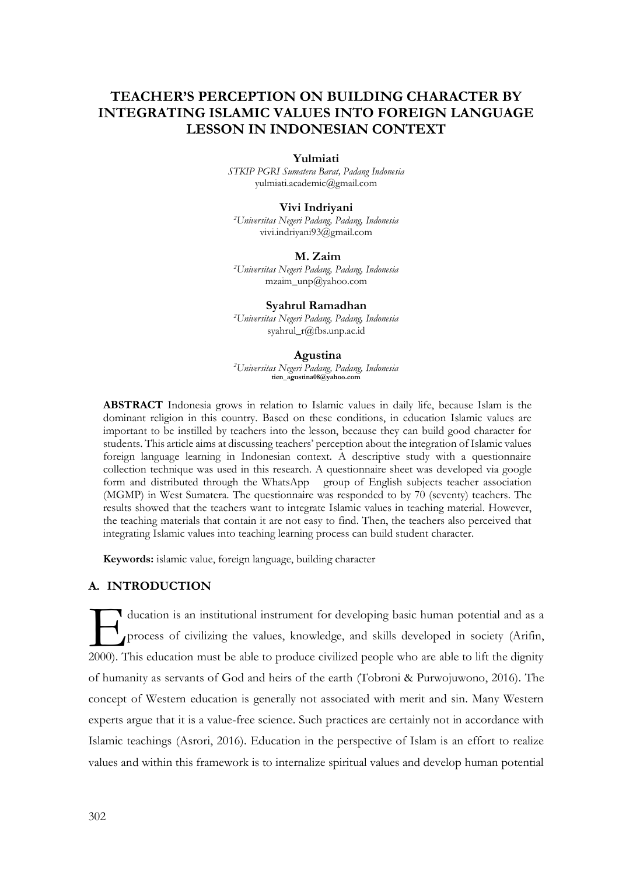# **TEACHER'S PERCEPTION ON BUILDING CHARACTER BY INTEGRATING ISLAMIC VALUES INTO FOREIGN LANGUAGE LESSON IN INDONESIAN CONTEXT**

#### **Yulmiati**

*STKIP PGRI Sumatera Barat, Padang Indonesia* [yulmiati.academic@gmail.com](mailto:yulmiati.academic@gmail.com)

#### **Vivi Indriyani**

*<sup>2</sup>Universitas Negeri Padang, Padang, Indonesia* [vivi.indriyani93@gmail.com](mailto:vivi.indriyani93@gmail.com)

#### **M. Zaim**

*<sup>2</sup>Universitas Negeri Padang, Padang, Indonesia* [mzaim\\_unp@yahoo.com](mailto:mzaim_unp@yahoo.com)

**Syahrul Ramadhan** *<sup>2</sup>Universitas Negeri Padang, Padang, Indonesia* [syahrul\\_r@fbs.unp.ac.id](mailto:syahrul_r@fbs.unp.ac.id)

#### **Agustina**

*<sup>2</sup>Universitas Negeri Padang, Padang, Indonesia* **tien\_agustina08@yahoo.com**

**ABSTRACT** Indonesia grows in relation to Islamic values in daily life, because Islam is the dominant religion in this country. Based on these conditions, in education Islamic values are important to be instilled by teachers into the lesson, because they can build good character for students. This article aims at discussing teachers' perception about the integration of Islamic values foreign language learning in Indonesian context. A descriptive study with a questionnaire collection technique was used in this research. A questionnaire sheet was developed via google form and distributed through the WhatsApp group of English subjects teacher association (MGMP) in West Sumatera. The questionnaire was responded to by 70 (seventy) teachers. The results showed that the teachers want to integrate Islamic values in teaching material. However, the teaching materials that contain it are not easy to find. Then, the teachers also perceived that integrating Islamic values into teaching learning process can build student character.

**Keywords:** islamic value, foreign language, building character

# **A. INTRODUCTION**

ducation is an institutional instrument for developing basic human potential and as a process of civilizing the values, knowledge, and skills developed in society (Arifin, ducation is an institutional instrument for developing basic human potential and as a process of civilizing the values, knowledge, and skills developed in society (Arifin, 2000). This education must be able to produce civi of humanity as servants of God and heirs of the earth (Tobroni & Purwojuwono, 2016). The concept of Western education is generally not associated with merit and sin. Many Western experts argue that it is a value-free science. Such practices are certainly not in accordance with Islamic teachings (Asrori, 2016). Education in the perspective of Islam is an effort to realize values and within this framework is to internalize spiritual values and develop human potential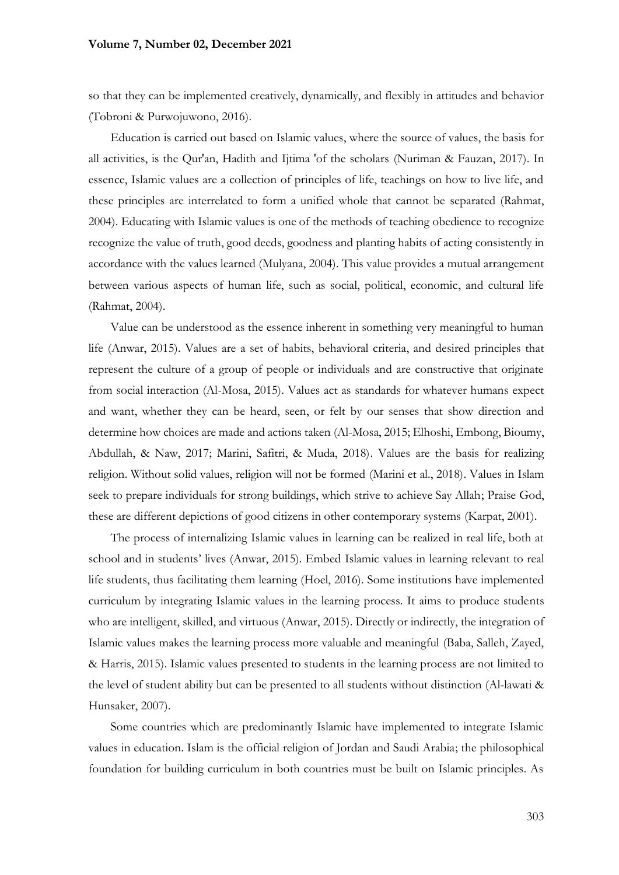### **Volume 7, Number 02, December 2021**

so that they can be implemented creatively, dynamically, and flexibly in attitudes and behavior (Tobroni & Purwojuwono, 2016).

Education is carried out based on Islamic values, where the source of values, the basis for all activities, is the Qur'an, Hadith and Ijtima 'of the scholars (Nuriman & Fauzan, 2017). In essence, Islamic values are a collection of principles of life, teachings on how to live life, and these principles are interrelated to form a unified whole that cannot be separated (Rahmat, 2004). Educating with Islamic values is one of the methods of teaching obedience to recognize recognize the value of truth, good deeds, goodness and planting habits of acting consistently in accordance with the values learned (Mulyana, 2004). This value provides a mutual arrangement between various aspects of human life, such as social, political, economic, and cultural life (Rahmat, 2004).

Value can be understood as the essence inherent in something very meaningful to human life (Anwar, 2015). Values are a set of habits, behavioral criteria, and desired principles that represent the culture of a group of people or individuals and are constructive that originate from social interaction (Al-Mosa, 2015). Values act as standards for whatever humans expect and want, whether they can be heard, seen, or felt by our senses that show direction and determine how choices are made and actions taken (Al-Mosa, 2015; Elhoshi, Embong, Bioumy, Abdullah, & Naw, 2017; Marini, Safitri, & Muda, 2018). Values are the basis for realizing religion. Without solid values, religion will not be formed (Marini et al., 2018). Values in Islam seek to prepare individuals for strong buildings, which strive to achieve Say Allah; Praise God, these are different depictions of good citizens in other contemporary systems (Karpat, 2001).

The process of internalizing Islamic values in learning can be realized in real life, both at school and in students' lives (Anwar, 2015). Embed Islamic values in learning relevant to real life students, thus facilitating them learning (Hoel, 2016). Some institutions have implemented curriculum by integrating Islamic values in the learning process. It aims to produce students who are intelligent, skilled, and virtuous (Anwar, 2015). Directly or indirectly, the integration of Islamic values makes the learning process more valuable and meaningful (Baba, Salleh, Zayed, & Harris, 2015). Islamic values presented to students in the learning process are not limited to the level of student ability but can be presented to all students without distinction (Al-lawati & Hunsaker, 2007).

Some countries which are predominantly Islamic have implemented to integrate Islamic values in education. Islam is the official religion of Jordan and Saudi Arabia; the philosophical foundation for building curriculum in both countries must be built on Islamic principles. As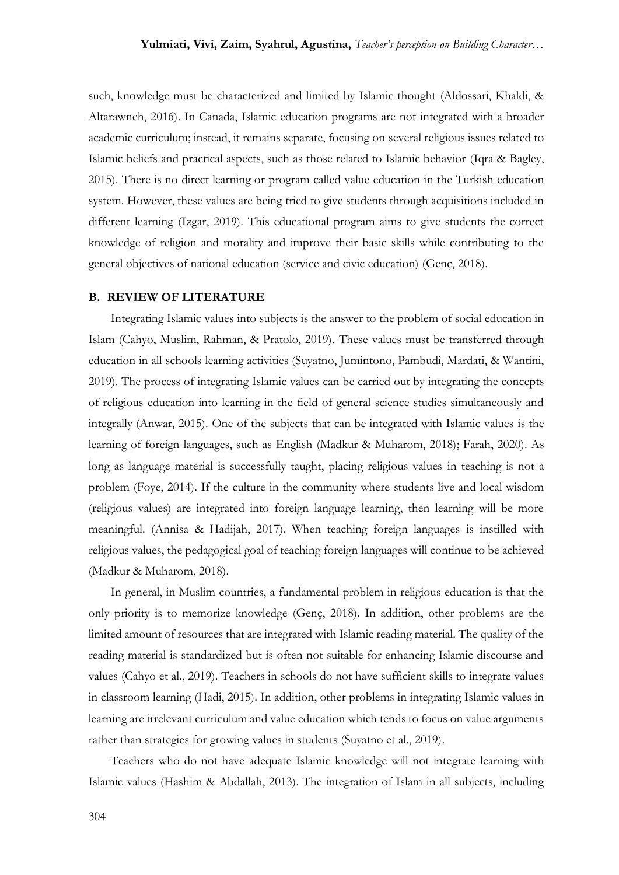such, knowledge must be characterized and limited by Islamic thought (Aldossari, Khaldi, & Altarawneh, 2016). In Canada, Islamic education programs are not integrated with a broader academic curriculum; instead, it remains separate, focusing on several religious issues related to Islamic beliefs and practical aspects, such as those related to Islamic behavior (Iqra & Bagley, 2015). There is no direct learning or program called value education in the Turkish education system. However, these values are being tried to give students through acquisitions included in different learning (Izgar, 2019). This educational program aims to give students the correct knowledge of religion and morality and improve their basic skills while contributing to the general objectives of national education (service and civic education) (Genç, 2018).

#### **B. REVIEW OF LITERATURE**

Integrating Islamic values into subjects is the answer to the problem of social education in Islam (Cahyo, Muslim, Rahman, & Pratolo, 2019). These values must be transferred through education in all schools learning activities (Suyatno, Jumintono, Pambudi, Mardati, & Wantini, 2019). The process of integrating Islamic values can be carried out by integrating the concepts of religious education into learning in the field of general science studies simultaneously and integrally (Anwar, 2015). One of the subjects that can be integrated with Islamic values is the learning of foreign languages, such as English (Madkur & Muharom, 2018); Farah, 2020). As long as language material is successfully taught, placing religious values in teaching is not a problem (Foye, 2014). If the culture in the community where students live and local wisdom (religious values) are integrated into foreign language learning, then learning will be more meaningful. (Annisa & Hadijah, 2017). When teaching foreign languages is instilled with religious values, the pedagogical goal of teaching foreign languages will continue to be achieved (Madkur & Muharom, 2018).

In general, in Muslim countries, a fundamental problem in religious education is that the only priority is to memorize knowledge (Genç, 2018). In addition, other problems are the limited amount of resources that are integrated with Islamic reading material. The quality of the reading material is standardized but is often not suitable for enhancing Islamic discourse and values (Cahyo et al., 2019). Teachers in schools do not have sufficient skills to integrate values in classroom learning (Hadi, 2015). In addition, other problems in integrating Islamic values in learning are irrelevant curriculum and value education which tends to focus on value arguments rather than strategies for growing values in students (Suyatno et al., 2019).

Teachers who do not have adequate Islamic knowledge will not integrate learning with Islamic values (Hashim & Abdallah, 2013). The integration of Islam in all subjects, including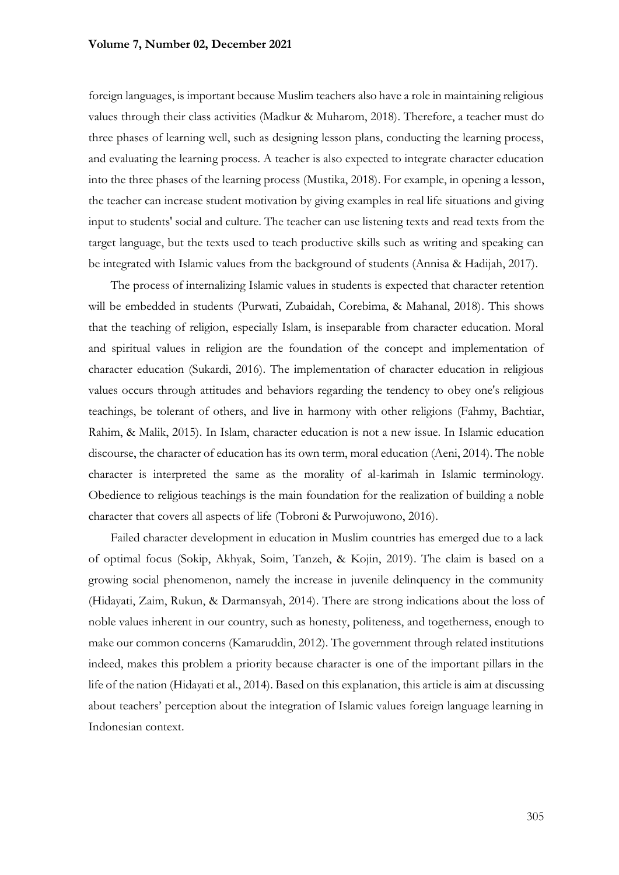foreign languages, is important because Muslim teachers also have a role in maintaining religious values through their class activities (Madkur & Muharom, 2018). Therefore, a teacher must do three phases of learning well, such as designing lesson plans, conducting the learning process, and evaluating the learning process. A teacher is also expected to integrate character education into the three phases of the learning process (Mustika, 2018). For example, in opening a lesson, the teacher can increase student motivation by giving examples in real life situations and giving input to students' social and culture. The teacher can use listening texts and read texts from the target language, but the texts used to teach productive skills such as writing and speaking can be integrated with Islamic values from the background of students (Annisa & Hadijah, 2017).

The process of internalizing Islamic values in students is expected that character retention will be embedded in students (Purwati, Zubaidah, Corebima, & Mahanal, 2018). This shows that the teaching of religion, especially Islam, is inseparable from character education. Moral and spiritual values in religion are the foundation of the concept and implementation of character education (Sukardi, 2016). The implementation of character education in religious values occurs through attitudes and behaviors regarding the tendency to obey one's religious teachings, be tolerant of others, and live in harmony with other religions (Fahmy, Bachtiar, Rahim, & Malik, 2015). In Islam, character education is not a new issue. In Islamic education discourse, the character of education has its own term, moral education (Aeni, 2014). The noble character is interpreted the same as the morality of al-karimah in Islamic terminology. Obedience to religious teachings is the main foundation for the realization of building a noble character that covers all aspects of life (Tobroni & Purwojuwono, 2016).

Failed character development in education in Muslim countries has emerged due to a lack of optimal focus (Sokip, Akhyak, Soim, Tanzeh, & Kojin, 2019). The claim is based on a growing social phenomenon, namely the increase in juvenile delinquency in the community (Hidayati, Zaim, Rukun, & Darmansyah, 2014). There are strong indications about the loss of noble values inherent in our country, such as honesty, politeness, and togetherness, enough to make our common concerns (Kamaruddin, 2012). The government through related institutions indeed, makes this problem a priority because character is one of the important pillars in the life of the nation (Hidayati et al., 2014). Based on this explanation, this article is aim at discussing about teachers' perception about the integration of Islamic values foreign language learning in Indonesian context.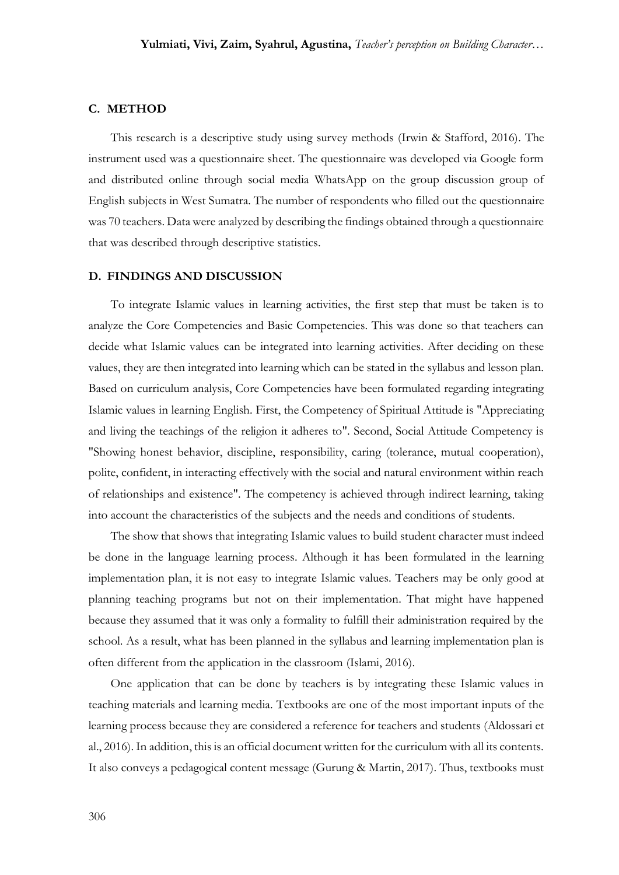# **C. METHOD**

This research is a descriptive study using survey methods (Irwin & Stafford, 2016). The instrument used was a questionnaire sheet. The questionnaire was developed via Google form and distributed online through social media WhatsApp on the group discussion group of English subjects in West Sumatra. The number of respondents who filled out the questionnaire was 70 teachers. Data were analyzed by describing the findings obtained through a questionnaire that was described through descriptive statistics.

#### **D. FINDINGS AND DISCUSSION**

To integrate Islamic values in learning activities, the first step that must be taken is to analyze the Core Competencies and Basic Competencies. This was done so that teachers can decide what Islamic values can be integrated into learning activities. After deciding on these values, they are then integrated into learning which can be stated in the syllabus and lesson plan. Based on curriculum analysis, Core Competencies have been formulated regarding integrating Islamic values in learning English. First, the Competency of Spiritual Attitude is "Appreciating and living the teachings of the religion it adheres to". Second, Social Attitude Competency is "Showing honest behavior, discipline, responsibility, caring (tolerance, mutual cooperation), polite, confident, in interacting effectively with the social and natural environment within reach of relationships and existence". The competency is achieved through indirect learning, taking into account the characteristics of the subjects and the needs and conditions of students.

The show that shows that integrating Islamic values to build student character must indeed be done in the language learning process. Although it has been formulated in the learning implementation plan, it is not easy to integrate Islamic values. Teachers may be only good at planning teaching programs but not on their implementation. That might have happened because they assumed that it was only a formality to fulfill their administration required by the school. As a result, what has been planned in the syllabus and learning implementation plan is often different from the application in the classroom (Islami, 2016).

One application that can be done by teachers is by integrating these Islamic values in teaching materials and learning media. Textbooks are one of the most important inputs of the learning process because they are considered a reference for teachers and students (Aldossari et al., 2016). In addition, this is an official document written for the curriculum with all its contents. It also conveys a pedagogical content message (Gurung & Martin, 2017). Thus, textbooks must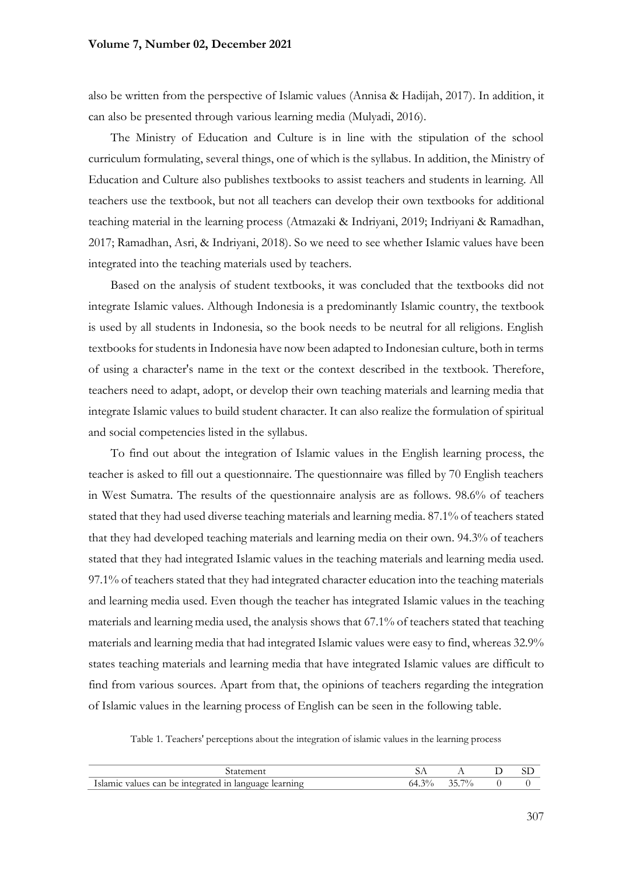### **Volume 7, Number 02, December 2021**

also be written from the perspective of Islamic values (Annisa & Hadijah, 2017). In addition, it can also be presented through various learning media (Mulyadi, 2016).

The Ministry of Education and Culture is in line with the stipulation of the school curriculum formulating, several things, one of which is the syllabus. In addition, the Ministry of Education and Culture also publishes textbooks to assist teachers and students in learning. All teachers use the textbook, but not all teachers can develop their own textbooks for additional teaching material in the learning process (Atmazaki & Indriyani, 2019; Indriyani & Ramadhan, 2017; Ramadhan, Asri, & Indriyani, 2018). So we need to see whether Islamic values have been integrated into the teaching materials used by teachers.

Based on the analysis of student textbooks, it was concluded that the textbooks did not integrate Islamic values. Although Indonesia is a predominantly Islamic country, the textbook is used by all students in Indonesia, so the book needs to be neutral for all religions. English textbooks for students in Indonesia have now been adapted to Indonesian culture, both in terms of using a character's name in the text or the context described in the textbook. Therefore, teachers need to adapt, adopt, or develop their own teaching materials and learning media that integrate Islamic values to build student character. It can also realize the formulation of spiritual and social competencies listed in the syllabus.

To find out about the integration of Islamic values in the English learning process, the teacher is asked to fill out a questionnaire. The questionnaire was filled by 70 English teachers in West Sumatra. The results of the questionnaire analysis are as follows. 98.6% of teachers stated that they had used diverse teaching materials and learning media. 87.1% of teachers stated that they had developed teaching materials and learning media on their own. 94.3% of teachers stated that they had integrated Islamic values in the teaching materials and learning media used. 97.1% of teachers stated that they had integrated character education into the teaching materials and learning media used. Even though the teacher has integrated Islamic values in the teaching materials and learning media used, the analysis shows that 67.1% of teachers stated that teaching materials and learning media that had integrated Islamic values were easy to find, whereas 32.9% states teaching materials and learning media that have integrated Islamic values are difficult to find from various sources. Apart from that, the opinions of teachers regarding the integration of Islamic values in the learning process of English can be seen in the following table.

Table 1. Teachers' perceptions about the integration of islamic values in the learning process

| Islamic values can be integrated in language learning | $64.3\%$ | 35.7% |  |
|-------------------------------------------------------|----------|-------|--|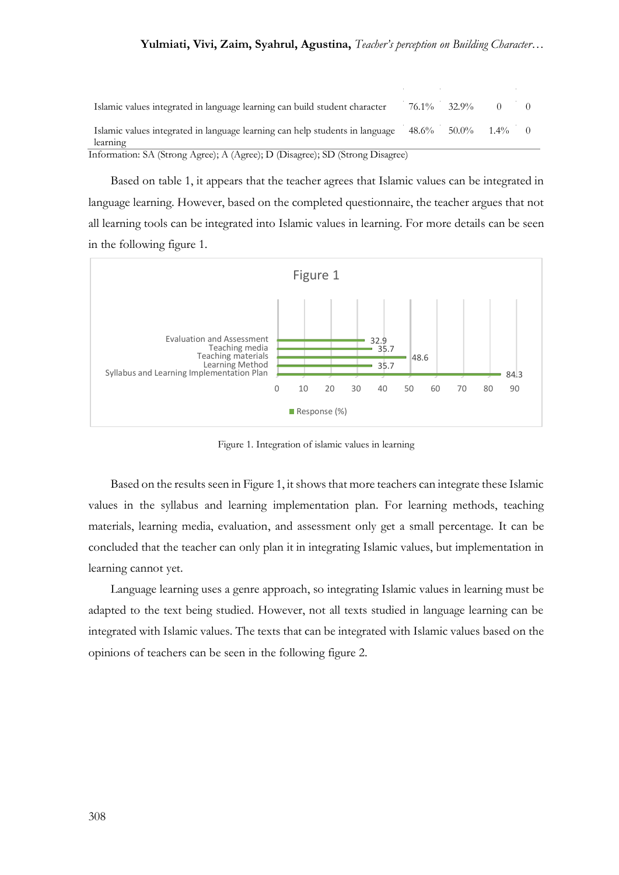| Islamic values integrated in language learning can build student character               |       | 76.1% 32.9%      |  |  |  |
|------------------------------------------------------------------------------------------|-------|------------------|--|--|--|
| Islamic values integrated in language learning can help students in language<br>learning | 48.6% | $50.0\%$ $1.4\%$ |  |  |  |
| Information: SA (Strong Agree); A (Agree); D (Disagree); SD (Strong Disagree)            |       |                  |  |  |  |

Based on table 1, it appears that the teacher agrees that Islamic values can be integrated in language learning. However, based on the completed questionnaire, the teacher argues that not all learning tools can be integrated into Islamic values in learning. For more details can be seen in the following figure 1.



Figure 1. Integration of islamic values in learning

Based on the results seen in Figure 1, it shows that more teachers can integrate these Islamic values in the syllabus and learning implementation plan. For learning methods, teaching materials, learning media, evaluation, and assessment only get a small percentage. It can be concluded that the teacher can only plan it in integrating Islamic values, but implementation in learning cannot yet.

Language learning uses a genre approach, so integrating Islamic values in learning must be adapted to the text being studied. However, not all texts studied in language learning can be integrated with Islamic values. The texts that can be integrated with Islamic values based on the opinions of teachers can be seen in the following figure 2.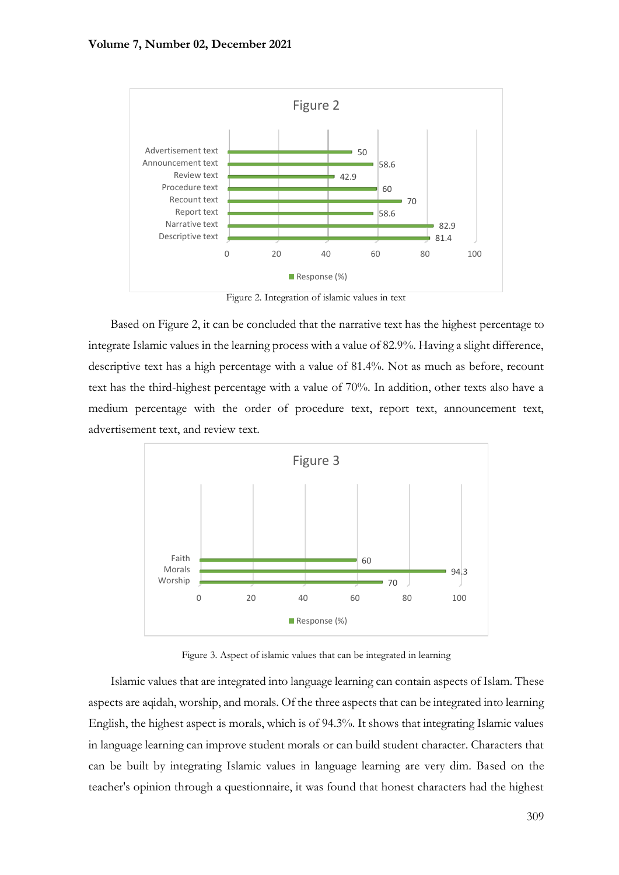

Figure 2. Integration of islamic values in text

Based on Figure 2, it can be concluded that the narrative text has the highest percentage to integrate Islamic values in the learning process with a value of 82.9%. Having a slight difference, descriptive text has a high percentage with a value of 81.4%. Not as much as before, recount text has the third-highest percentage with a value of 70%. In addition, other texts also have a medium percentage with the order of procedure text, report text, announcement text, advertisement text, and review text.



Figure 3. Aspect of islamic values that can be integrated in learning

Islamic values that are integrated into language learning can contain aspects of Islam. These aspects are aqidah, worship, and morals. Of the three aspects that can be integrated into learning English, the highest aspect is morals, which is of 94.3%. It shows that integrating Islamic values in language learning can improve student morals or can build student character. Characters that can be built by integrating Islamic values in language learning are very dim. Based on the teacher's opinion through a questionnaire, it was found that honest characters had the highest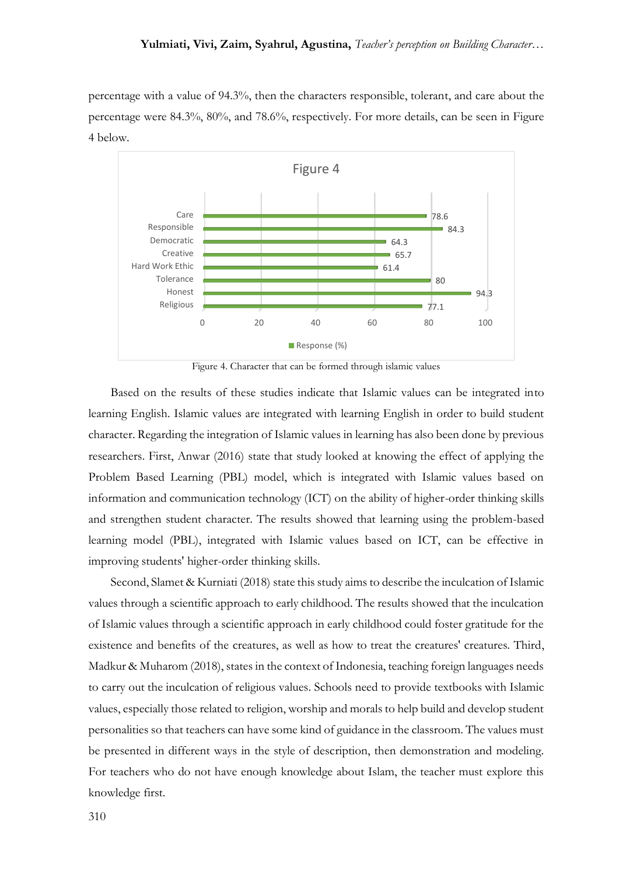percentage with a value of 94.3%, then the characters responsible, tolerant, and care about the percentage were 84.3%, 80%, and 78.6%, respectively. For more details, can be seen in Figure 4 below.



Figure 4. Character that can be formed through islamic values

Based on the results of these studies indicate that Islamic values can be integrated into learning English. Islamic values are integrated with learning English in order to build student character. Regarding the integration of Islamic values in learning has also been done by previous researchers. First, Anwar (2016) state that study looked at knowing the effect of applying the Problem Based Learning (PBL) model, which is integrated with Islamic values based on information and communication technology (ICT) on the ability of higher-order thinking skills and strengthen student character. The results showed that learning using the problem-based learning model (PBL), integrated with Islamic values based on ICT, can be effective in improving students' higher-order thinking skills.

Second, Slamet & Kurniati (2018) state this study aims to describe the inculcation of Islamic values through a scientific approach to early childhood. The results showed that the inculcation of Islamic values through a scientific approach in early childhood could foster gratitude for the existence and benefits of the creatures, as well as how to treat the creatures' creatures. Third, Madkur & Muharom (2018), states in the context of Indonesia, teaching foreign languages needs to carry out the inculcation of religious values. Schools need to provide textbooks with Islamic values, especially those related to religion, worship and morals to help build and develop student personalities so that teachers can have some kind of guidance in the classroom. The values must be presented in different ways in the style of description, then demonstration and modeling. For teachers who do not have enough knowledge about Islam, the teacher must explore this knowledge first.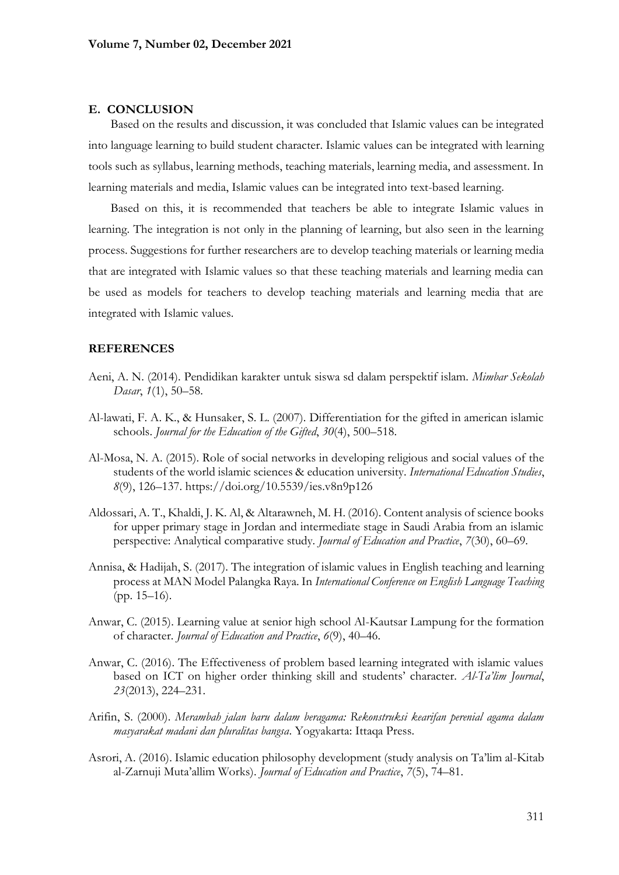## **E. CONCLUSION**

Based on the results and discussion, it was concluded that Islamic values can be integrated into language learning to build student character. Islamic values can be integrated with learning tools such as syllabus, learning methods, teaching materials, learning media, and assessment. In learning materials and media, Islamic values can be integrated into text-based learning.

Based on this, it is recommended that teachers be able to integrate Islamic values in learning. The integration is not only in the planning of learning, but also seen in the learning process. Suggestions for further researchers are to develop teaching materials or learning media that are integrated with Islamic values so that these teaching materials and learning media can be used as models for teachers to develop teaching materials and learning media that are integrated with Islamic values.

# **REFERENCES**

- Aeni, A. N. (2014). Pendidikan karakter untuk siswa sd dalam perspektif islam. *Mimbar Sekolah Dasar*, *1*(1), 50–58.
- Al-lawati, F. A. K., & Hunsaker, S. L. (2007). Differentiation for the gifted in american islamic schools. *Journal for the Education of the Gifted*, *30*(4), 500–518.
- Al-Mosa, N. A. (2015). Role of social networks in developing religious and social values of the students of the world islamic sciences & education university. *International Education Studies*, *8*(9), 126–137. https://doi.org/10.5539/ies.v8n9p126
- Aldossari, A. T., Khaldi, J. K. Al, & Altarawneh, M. H. (2016). Content analysis of science books for upper primary stage in Jordan and intermediate stage in Saudi Arabia from an islamic perspective: Analytical comparative study. *Journal of Education and Practice*, *7*(30), 60–69.
- Annisa, & Hadijah, S. (2017). The integration of islamic values in English teaching and learning process at MAN Model Palangka Raya. In *International Conference on English Language Teaching* (pp. 15–16).
- Anwar, C. (2015). Learning value at senior high school Al-Kautsar Lampung for the formation of character. *Journal of Education and Practice*, *6*(9), 40–46.
- Anwar, C. (2016). The Effectiveness of problem based learning integrated with islamic values based on ICT on higher order thinking skill and students' character. *Al-Ta'lim Journal*, *23*(2013), 224–231.
- Arifin, S. (2000). *Merambah jalan baru dalam beragama: Rekonstruksi kearifan perenial agama dalam masyarakat madani dan pluralitas bangsa*. Yogyakarta: Ittaqa Press.
- Asrori, A. (2016). Islamic education philosophy development (study analysis on Ta'lim al-Kitab al-Zarnuji Muta'allim Works). *Journal of Education and Practice*, *7*(5), 74–81.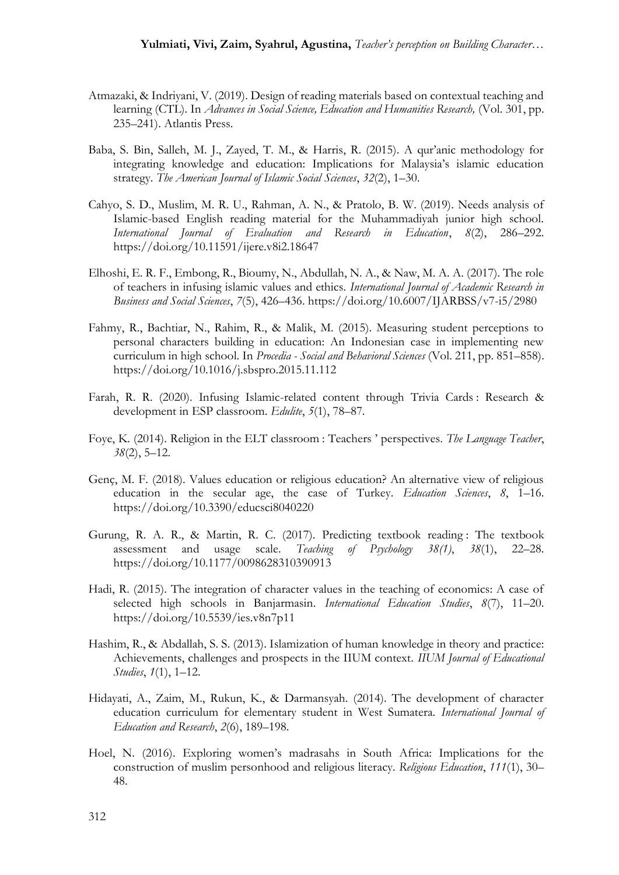- Atmazaki, & Indriyani, V. (2019). Design of reading materials based on contextual teaching and learning (CTL). In *Advances in Social Science, Education and Humanities Research,* (Vol. 301, pp. 235–241). Atlantis Press.
- Baba, S. Bin, Salleh, M. J., Zayed, T. M., & Harris, R. (2015). A qur'anic methodology for integrating knowledge and education: Implications for Malaysia's islamic education strategy. *The American Journal of Islamic Social Sciences*, *32*(2), 1–30.
- Cahyo, S. D., Muslim, M. R. U., Rahman, A. N., & Pratolo, B. W. (2019). Needs analysis of Islamic-based English reading material for the Muhammadiyah junior high school. *International Journal of Evaluation and Research in Education*, *8*(2), 286–292. https://doi.org/10.11591/ijere.v8i2.18647
- Elhoshi, E. R. F., Embong, R., Bioumy, N., Abdullah, N. A., & Naw, M. A. A. (2017). The role of teachers in infusing islamic values and ethics. *International Journal of Academic Research in Business and Social Sciences*, *7*(5), 426–436. https://doi.org/10.6007/IJARBSS/v7-i5/2980
- Fahmy, R., Bachtiar, N., Rahim, R., & Malik, M. (2015). Measuring student perceptions to personal characters building in education: An Indonesian case in implementing new curriculum in high school. In *Procedia - Social and Behavioral Sciences* (Vol. 211, pp. 851–858). https://doi.org/10.1016/j.sbspro.2015.11.112
- Farah, R. R. (2020). Infusing Islamic-related content through Trivia Cards : Research & development in ESP classroom. *Edulite*, *5*(1), 78–87.
- Foye, K. (2014). Religion in the ELT classroom : Teachers ' perspectives. *The Language Teacher*, *38*(2), 5–12.
- Genç, M. F. (2018). Values education or religious education? An alternative view of religious education in the secular age, the case of Turkey. *Education Sciences*, *8*, 1–16. https://doi.org/10.3390/educsci8040220
- Gurung, R. A. R., & Martin, R. C. (2017). Predicting textbook reading : The textbook assessment and usage scale. *Teaching of Psychology 38(1)*, *38*(1), 22–28. https://doi.org/10.1177/0098628310390913
- Hadi, R. (2015). The integration of character values in the teaching of economics: A case of selected high schools in Banjarmasin. *International Education Studies*, *8*(7), 11–20. https://doi.org/10.5539/ies.v8n7p11
- Hashim, R., & Abdallah, S. S. (2013). Islamization of human knowledge in theory and practice: Achievements, challenges and prospects in the IIUM context. *IIUM Journal of Educational Studies*, *1*(1), 1–12.
- Hidayati, A., Zaim, M., Rukun, K., & Darmansyah. (2014). The development of character education curriculum for elementary student in West Sumatera. *International Journal of Education and Research*, *2*(6), 189–198.
- Hoel, N. (2016). Exploring women's madrasahs in South Africa: Implications for the construction of muslim personhood and religious literacy. *Religious Education*, *111*(1), 30– 48.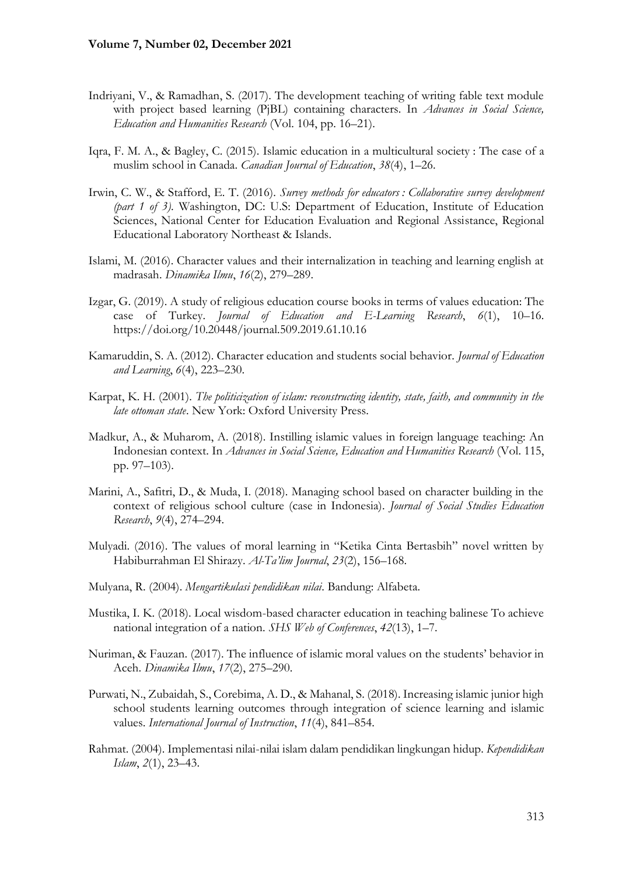- Indriyani, V., & Ramadhan, S. (2017). The development teaching of writing fable text module with project based learning (PjBL) containing characters. In *Advances in Social Science, Education and Humanities Research* (Vol. 104, pp. 16–21).
- Iqra, F. M. A., & Bagley, C. (2015). Islamic education in a multicultural society : The case of a muslim school in Canada. *Canadian Journal of Education*, *38*(4), 1–26.
- Irwin, C. W., & Stafford, E. T. (2016). *Survey methods for educators : Collaborative survey development (part 1 of 3)*. Washington, DC: U.S: Department of Education, Institute of Education Sciences, National Center for Education Evaluation and Regional Assistance, Regional Educational Laboratory Northeast & Islands.
- Islami, M. (2016). Character values and their internalization in teaching and learning english at madrasah. *Dinamika Ilmu*, *16*(2), 279–289.
- Izgar, G. (2019). A study of religious education course books in terms of values education: The case of Turkey. *Journal of Education and E-Learning Research*, *6*(1), 10–16. https://doi.org/10.20448/journal.509.2019.61.10.16
- Kamaruddin, S. A. (2012). Character education and students social behavior. *Journal of Education and Learning*, *6*(4), 223–230.
- Karpat, K. H. (2001). *The politicization of islam: reconstructing identity, state, faith, and community in the late ottoman state*. New York: Oxford University Press.
- Madkur, A., & Muharom, A. (2018). Instilling islamic values in foreign language teaching: An Indonesian context. In *Advances in Social Science, Education and Humanities Research* (Vol. 115, pp. 97–103).
- Marini, A., Safitri, D., & Muda, I. (2018). Managing school based on character building in the context of religious school culture (case in Indonesia). *Journal of Social Studies Education Research*, *9*(4), 274–294.
- Mulyadi. (2016). The values of moral learning in "Ketika Cinta Bertasbih" novel written by Habiburrahman El Shirazy. *Al-Ta'lim Journal*, *23*(2), 156–168.
- Mulyana, R. (2004). *Mengartikulasi pendidikan nilai*. Bandung: Alfabeta.
- Mustika, I. K. (2018). Local wisdom-based character education in teaching balinese To achieve national integration of a nation. *SHS Web of Conferences*, *42*(13), 1–7.
- Nuriman, & Fauzan. (2017). The influence of islamic moral values on the students' behavior in Aceh. *Dinamika Ilmu*, *17*(2), 275–290.
- Purwati, N., Zubaidah, S., Corebima, A. D., & Mahanal, S. (2018). Increasing islamic junior high school students learning outcomes through integration of science learning and islamic values. *International Journal of Instruction*, *11*(4), 841–854.
- Rahmat. (2004). Implementasi nilai-nilai islam dalam pendidikan lingkungan hidup. *Kependidikan Islam*, *2*(1), 23–43.